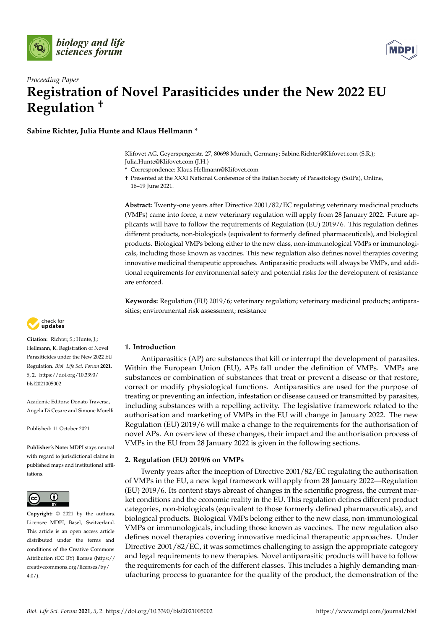



# *Proceeding Paper* **Registration of Novel Parasiticides under the New 2022 EU Regulation †**

**Sabine Richter, Julia Hunte and Klaus Hellmann \***

Klifovet AG, Geyerspergerstr. 27, 80698 Munich, Germany; Sabine.Richter@Klifovet.com (S.R.); Julia.Hunte@Klifovet.com (J.H.)

**\*** Correspondence: Klaus.Hellmann@Klifovet.com

† Presented at the XXXI National Conference of the Italian Society of Parasitology (SoIPa), Online, 16–19 June 2021.

**Abstract:** Twenty-one years after Directive 2001/82/EC regulating veterinary medicinal products (VMPs) came into force, a new veterinary regulation will apply from 28 January 2022. Future applicants will have to follow the requirements of Regulation (EU) 2019/6. This regulation defines different products, non-biologicals (equivalent to formerly defined pharmaceuticals), and biological products. Biological VMPs belong either to the new class, non-immunological VMPs or immunologicals, including those known as vaccines. This new regulation also defines novel therapies covering innovative medicinal therapeutic approaches. Antiparasitic products will always be VMPs, and additional requirements for environmental safety and potential risks for the development of resistance are enforced.

**Keywords:** Regulation (EU) 2019/6; veterinary regulation; veterinary medicinal products; antiparasitics; environmental risk assessment; resistance



Antiparasitics (AP) are substances that kill or interrupt the development of parasites. Within the European Union (EU), APs fall under the definition of VMPs. VMPs are substances or combination of substances that treat or prevent a disease or that restore, correct or modify physiological functions. Antiparasitics are used for the purpose of treating or preventing an infection, infestation or disease caused or transmitted by parasites, including substances with a repelling activity. The legislative framework related to the authorisation and marketing of VMPs in the EU will change in January 2022. The new Regulation (EU) 2019/6 will make a change to the requirements for the authorisation of novel APs. An overview of these changes, their impact and the authorisation process of VMPs in the EU from 28 January 2022 is given in the following sections.

# **2. Regulation (EU) 2019/6 on VMPs**

Twenty years after the inception of Directive 2001/82/EC regulating the authorisation of VMPs in the EU, a new legal framework will apply from 28 January 2022—Regulation (EU) 2019/6. Its content stays abreast of changes in the scientific progress, the current market conditions and the economic reality in the EU. This regulation defines different product categories, non-biologicals (equivalent to those formerly defined pharmaceuticals), and biological products. Biological VMPs belong either to the new class, non-immunological VMPs or immunologicals, including those known as vaccines. The new regulation also defines novel therapies covering innovative medicinal therapeutic approaches. Under Directive 2001/82/EC, it was sometimes challenging to assign the appropriate category and legal requirements to new therapies. Novel antiparasitic products will have to follow the requirements for each of the different classes. This includes a highly demanding manufacturing process to guarantee for the quality of the product, the demonstration of the



**Citation:** Richter, S.; Hunte, J.; Hellmann, K. Registration of Novel Parasiticides under the New 2022 EU Regulation. *Biol. Life Sci. Forum* **2021**, *5*, 2. [https://doi.org/10.3390/](https://doi.org/10.3390/blsf2021005002) [blsf2021005002](https://doi.org/10.3390/blsf2021005002)

Academic Editors: Donato Traversa, Angela Di Cesare and Simone Morelli

Published: 11 October 2021

**Publisher's Note:** MDPI stays neutral with regard to jurisdictional claims in published maps and institutional affiliations.



**Copyright:** © 2021 by the authors. Licensee MDPI, Basel, Switzerland. This article is an open access article distributed under the terms and conditions of the Creative Commons Attribution (CC BY) license (https:/[/](https://creativecommons.org/licenses/by/4.0/) [creativecommons.org/licenses/by/](https://creativecommons.org/licenses/by/4.0/) 4.0/).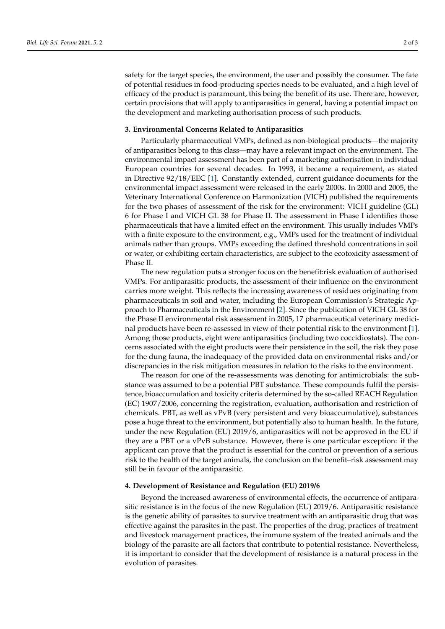safety for the target species, the environment, the user and possibly the consumer. The fate of potential residues in food-producing species needs to be evaluated, and a high level of efficacy of the product is paramount, this being the benefit of its use. There are, however, certain provisions that will apply to antiparasitics in general, having a potential impact on the development and marketing authorisation process of such products.

#### **3. Environmental Concerns Related to Antiparasitics**

Particularly pharmaceutical VMPs, defined as non-biological products—the majority of antiparasitics belong to this class—may have a relevant impact on the environment. The environmental impact assessment has been part of a marketing authorisation in individual European countries for several decades. In 1993, it became a requirement, as stated in Directive 92/18/EEC [\[1\]](#page-2-0). Constantly extended, current guidance documents for the environmental impact assessment were released in the early 2000s. In 2000 and 2005, the Veterinary International Conference on Harmonization (VICH) published the requirements for the two phases of assessment of the risk for the environment: VICH guideline (GL) 6 for Phase I and VICH GL 38 for Phase II. The assessment in Phase I identifies those pharmaceuticals that have a limited effect on the environment. This usually includes VMPs with a finite exposure to the environment, e.g., VMPs used for the treatment of individual animals rather than groups. VMPs exceeding the defined threshold concentrations in soil or water, or exhibiting certain characteristics, are subject to the ecotoxicity assessment of Phase II.

The new regulation puts a stronger focus on the benefit:risk evaluation of authorised VMPs. For antiparasitic products, the assessment of their influence on the environment carries more weight. This reflects the increasing awareness of residues originating from pharmaceuticals in soil and water, including the European Commission's Strategic Approach to Pharmaceuticals in the Environment [\[2\]](#page-2-1). Since the publication of VICH GL 38 for the Phase II environmental risk assessment in 2005, 17 pharmaceutical veterinary medicinal products have been re-assessed in view of their potential risk to the environment [\[1\]](#page-2-0). Among those products, eight were antiparasitics (including two coccidiostats). The concerns associated with the eight products were their persistence in the soil, the risk they pose for the dung fauna, the inadequacy of the provided data on environmental risks and/or discrepancies in the risk mitigation measures in relation to the risks to the environment.

The reason for one of the re-assessments was denoting for antimicrobials: the substance was assumed to be a potential PBT substance. These compounds fulfil the persistence, bioaccumulation and toxicity criteria determined by the so-called REACH Regulation (EC) 1907/2006, concerning the registration, evaluation, authorisation and restriction of chemicals. PBT, as well as vPvB (very persistent and very bioaccumulative), substances pose a huge threat to the environment, but potentially also to human health. In the future, under the new Regulation (EU) 2019/6, antiparasitics will not be approved in the EU if they are a PBT or a vPvB substance. However, there is one particular exception: if the applicant can prove that the product is essential for the control or prevention of a serious risk to the health of the target animals, the conclusion on the benefit–risk assessment may still be in favour of the antiparasitic.

#### **4. Development of Resistance and Regulation (EU) 2019/6**

Beyond the increased awareness of environmental effects, the occurrence of antiparasitic resistance is in the focus of the new Regulation (EU) 2019/6. Antiparasitic resistance is the genetic ability of parasites to survive treatment with an antiparasitic drug that was effective against the parasites in the past. The properties of the drug, practices of treatment and livestock management practices, the immune system of the treated animals and the biology of the parasite are all factors that contribute to potential resistance. Nevertheless, it is important to consider that the development of resistance is a natural process in the evolution of parasites.